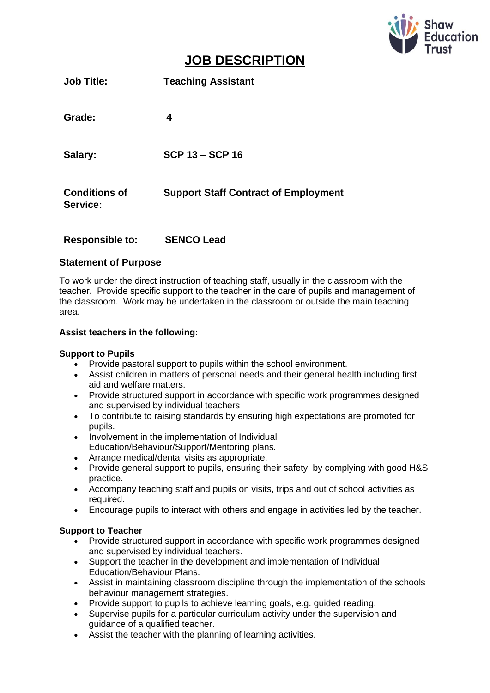

# **JOB DESCRIPTION**

| <b>Job Title:</b>                | <b>Teaching Assistant</b>                   |
|----------------------------------|---------------------------------------------|
| Grade:                           | 4                                           |
| Salary:                          | <b>SCP 13 - SCP 16</b>                      |
| <b>Conditions of</b><br>Service: | <b>Support Staff Contract of Employment</b> |

#### **Responsible to: SENCO Lead**

#### **Statement of Purpose**

To work under the direct instruction of teaching staff, usually in the classroom with the teacher. Provide specific support to the teacher in the care of pupils and management of the classroom. Work may be undertaken in the classroom or outside the main teaching area.

#### **Assist teachers in the following:**

#### **Support to Pupils**

- Provide pastoral support to pupils within the school environment.
- Assist children in matters of personal needs and their general health including first aid and welfare matters.
- Provide structured support in accordance with specific work programmes designed and supervised by individual teachers
- To contribute to raising standards by ensuring high expectations are promoted for pupils.
- Involvement in the implementation of Individual Education/Behaviour/Support/Mentoring plans.
- Arrange medical/dental visits as appropriate.
- Provide general support to pupils, ensuring their safety, by complying with good H&S practice.
- Accompany teaching staff and pupils on visits, trips and out of school activities as required.
- Encourage pupils to interact with others and engage in activities led by the teacher.

#### **Support to Teacher**

- Provide structured support in accordance with specific work programmes designed and supervised by individual teachers.
- Support the teacher in the development and implementation of Individual Education/Behaviour Plans.
- Assist in maintaining classroom discipline through the implementation of the schools behaviour management strategies.
- Provide support to pupils to achieve learning goals, e.g. guided reading.
- Supervise pupils for a particular curriculum activity under the supervision and guidance of a qualified teacher.
- Assist the teacher with the planning of learning activities.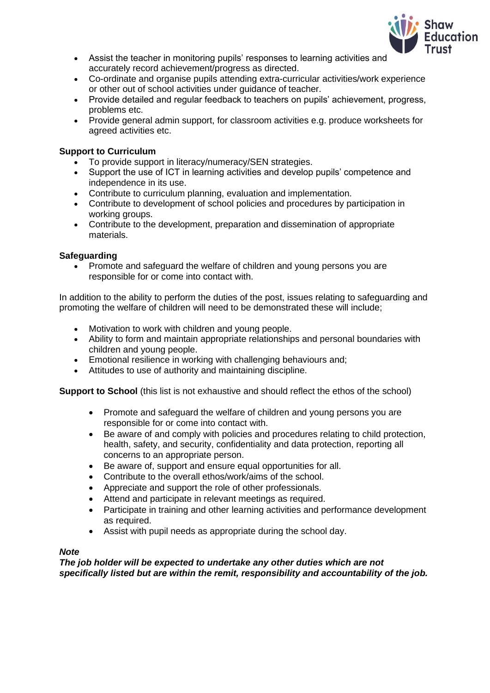

- Assist the teacher in monitoring pupils' responses to learning activities and accurately record achievement/progress as directed.
- Co-ordinate and organise pupils attending extra-curricular activities/work experience or other out of school activities under guidance of teacher.
- Provide detailed and regular feedback to teachers on pupils' achievement, progress, problems etc.
- Provide general admin support, for classroom activities e.g. produce worksheets for agreed activities etc.

#### **Support to Curriculum**

- To provide support in literacy/numeracy/SEN strategies.
- Support the use of ICT in learning activities and develop pupils' competence and independence in its use.
- Contribute to curriculum planning, evaluation and implementation.
- Contribute to development of school policies and procedures by participation in working groups.
- Contribute to the development, preparation and dissemination of appropriate materials.

#### **Safeguarding**

• Promote and safeguard the welfare of children and young persons you are responsible for or come into contact with.

In addition to the ability to perform the duties of the post, issues relating to safeguarding and promoting the welfare of children will need to be demonstrated these will include;

- Motivation to work with children and young people.
- Ability to form and maintain appropriate relationships and personal boundaries with children and young people.
- Emotional resilience in working with challenging behaviours and;
- Attitudes to use of authority and maintaining discipline.

**Support to School** (this list is not exhaustive and should reflect the ethos of the school)

- Promote and safeguard the welfare of children and young persons you are responsible for or come into contact with.
- Be aware of and comply with policies and procedures relating to child protection, health, safety, and security, confidentiality and data protection, reporting all concerns to an appropriate person.
- Be aware of, support and ensure equal opportunities for all.
- Contribute to the overall ethos/work/aims of the school.
- Appreciate and support the role of other professionals.
- Attend and participate in relevant meetings as required.
- Participate in training and other learning activities and performance development as required.
- Assist with pupil needs as appropriate during the school day.

#### *Note*

*The job holder will be expected to undertake any other duties which are not specifically listed but are within the remit, responsibility and accountability of the job.*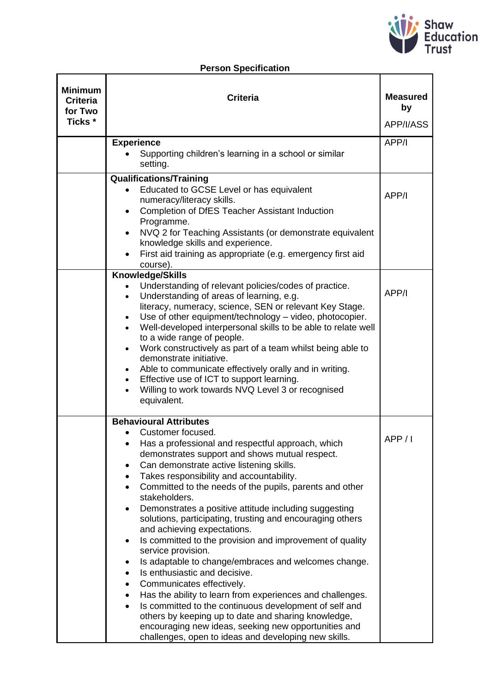

## **Person Specification**

| <b>Minimum</b><br><b>Criteria</b><br>for Two<br>Ticks * | <b>Criteria</b>                                                                                             | <b>Measured</b><br>by<br>APP/I/ASS |
|---------------------------------------------------------|-------------------------------------------------------------------------------------------------------------|------------------------------------|
|                                                         |                                                                                                             |                                    |
|                                                         | <b>Experience</b>                                                                                           | APP/I                              |
|                                                         | Supporting children's learning in a school or similar<br>setting.                                           |                                    |
|                                                         | <b>Qualifications/Training</b>                                                                              |                                    |
|                                                         | Educated to GCSE Level or has equivalent                                                                    | APP/I                              |
|                                                         | numeracy/literacy skills.                                                                                   |                                    |
|                                                         | Completion of DfES Teacher Assistant Induction<br>$\bullet$<br>Programme.                                   |                                    |
|                                                         | NVQ 2 for Teaching Assistants (or demonstrate equivalent                                                    |                                    |
|                                                         | knowledge skills and experience.                                                                            |                                    |
|                                                         | First aid training as appropriate (e.g. emergency first aid                                                 |                                    |
|                                                         | course).                                                                                                    |                                    |
|                                                         | Knowledge/Skills                                                                                            |                                    |
|                                                         | Understanding of relevant policies/codes of practice.                                                       | APP/I                              |
|                                                         | Understanding of areas of learning, e.g.<br>literacy, numeracy, science, SEN or relevant Key Stage.         |                                    |
|                                                         | Use of other equipment/technology - video, photocopier.<br>$\bullet$                                        |                                    |
|                                                         | Well-developed interpersonal skills to be able to relate well                                               |                                    |
|                                                         | to a wide range of people.                                                                                  |                                    |
|                                                         | Work constructively as part of a team whilst being able to<br>$\bullet$                                     |                                    |
|                                                         | demonstrate initiative.                                                                                     |                                    |
|                                                         | Able to communicate effectively orally and in writing.<br>$\bullet$                                         |                                    |
|                                                         | Effective use of ICT to support learning.<br>Willing to work towards NVQ Level 3 or recognised              |                                    |
|                                                         | equivalent.                                                                                                 |                                    |
|                                                         | <b>Behavioural Attributes</b>                                                                               |                                    |
|                                                         | Customer focused.                                                                                           |                                    |
|                                                         | Has a professional and respectful approach, which                                                           | APP / I                            |
|                                                         | demonstrates support and shows mutual respect.                                                              |                                    |
|                                                         | Can demonstrate active listening skills.<br>٠                                                               |                                    |
|                                                         | Takes responsibility and accountability.<br>$\bullet$                                                       |                                    |
|                                                         | Committed to the needs of the pupils, parents and other<br>stakeholders.                                    |                                    |
|                                                         | Demonstrates a positive attitude including suggesting<br>$\bullet$                                          |                                    |
|                                                         | solutions, participating, trusting and encouraging others<br>and achieving expectations.                    |                                    |
|                                                         | Is committed to the provision and improvement of quality<br>$\bullet$                                       |                                    |
|                                                         | service provision.                                                                                          |                                    |
|                                                         | Is adaptable to change/embraces and welcomes change.<br>٠                                                   |                                    |
|                                                         | Is enthusiastic and decisive.<br>$\bullet$                                                                  |                                    |
|                                                         | Communicates effectively.<br>٠                                                                              |                                    |
|                                                         | Has the ability to learn from experiences and challenges.<br>$\bullet$                                      |                                    |
|                                                         | Is committed to the continuous development of self and                                                      |                                    |
|                                                         | others by keeping up to date and sharing knowledge,<br>encouraging new ideas, seeking new opportunities and |                                    |
|                                                         | challenges, open to ideas and developing new skills.                                                        |                                    |